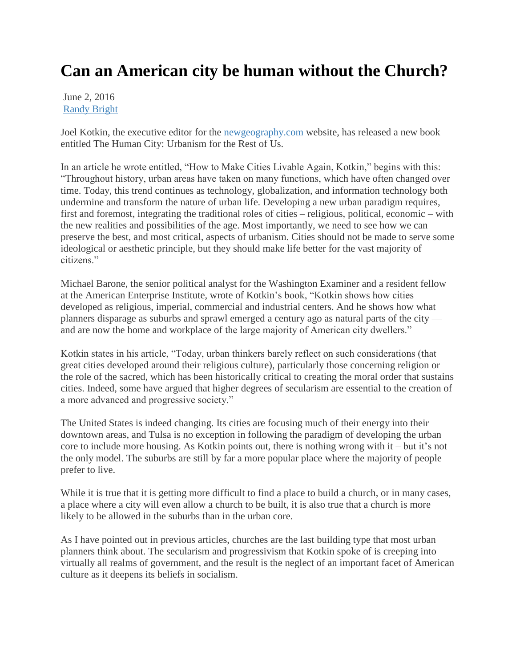## **Can an American city be human without the Church?**

June 2, 2016 [Randy Bright](http://tulsabeacon.com/author/randy-bright/)

Joel Kotkin, the executive editor for the [newgeography.com](http://newgeography.com/) website, has released a new book entitled The Human City: Urbanism for the Rest of Us.

In an article he wrote entitled, "How to Make Cities Livable Again, Kotkin," begins with this: ―Throughout history, urban areas have taken on many functions, which have often changed over time. Today, this trend continues as technology, globalization, and information technology both undermine and transform the nature of urban life. Developing a new urban paradigm requires, first and foremost, integrating the traditional roles of cities – religious, political, economic – with the new realities and possibilities of the age. Most importantly, we need to see how we can preserve the best, and most critical, aspects of urbanism. Cities should not be made to serve some ideological or aesthetic principle, but they should make life better for the vast majority of citizens."

Michael Barone, the senior political analyst for the Washington Examiner and a resident fellow at the American Enterprise Institute, wrote of Kotkin's book, "Kotkin shows how cities developed as religious, imperial, commercial and industrial centers. And he shows how what planners disparage as suburbs and sprawl emerged a century ago as natural parts of the city and are now the home and workplace of the large majority of American city dwellers."

Kotkin states in his article, "Today, urban thinkers barely reflect on such considerations (that great cities developed around their religious culture), particularly those concerning religion or the role of the sacred, which has been historically critical to creating the moral order that sustains cities. Indeed, some have argued that higher degrees of secularism are essential to the creation of a more advanced and progressive society."

The United States is indeed changing. Its cities are focusing much of their energy into their downtown areas, and Tulsa is no exception in following the paradigm of developing the urban core to include more housing. As Kotkin points out, there is nothing wrong with it – but it's not the only model. The suburbs are still by far a more popular place where the majority of people prefer to live.

While it is true that it is getting more difficult to find a place to build a church, or in many cases, a place where a city will even allow a church to be built, it is also true that a church is more likely to be allowed in the suburbs than in the urban core.

As I have pointed out in previous articles, churches are the last building type that most urban planners think about. The secularism and progressivism that Kotkin spoke of is creeping into virtually all realms of government, and the result is the neglect of an important facet of American culture as it deepens its beliefs in socialism.